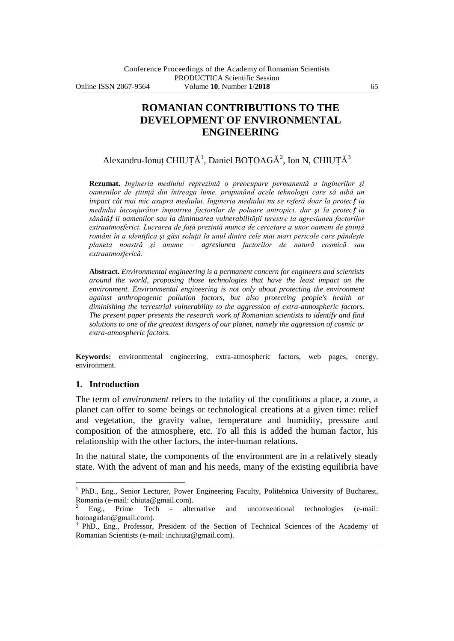# **ROMANIAN CONTRIBUTIONS TO THE DEVELOPMENT OF ENVIRONMENTAL ENGINEERING**

Alexandru-Ionuț CHIUȚĂ<sup>1</sup>, Daniel BOȚOAGĂ<sup>2</sup>, Ion N, CHIUȚĂ<sup>3</sup>

**Rezumat.** *Ingineria mediului reprezintă o preocupare permanentă a inginerilor şi oamenilor de ştiinţă din întreaga lume, propunând acele tehnologii care să aibă un impact cât mai mic asupra mediului. Ingineria mediului nu se referă doar la protec*ț *ia mediului înconjurător împotriva factorilor de poluare antropici, dar şi la protec*ț *ia sănătă*ț *ii oamenilor sau la diminuarea vulnerabilităţii terestre la agresiunea factorilor extraatmosferici. Lucrarea de faţă prezintă munca de cercetare a unor oameni de ştiinţă români în a identifica şi găsi soluţii la unul dintre cele mai mari pericole care pândeşte planeta noastră şi anume – agresiunea factorilor de natură cosmică sau extraatmosferică.* 

**Abstract.** *Environmental engineering is a permanent concern for engineers and scientists around the world, proposing those technologies that have the least impact on the environment. Environmental engineering is not only about protecting the environment against anthropogenic pollution factors, but also protecting people's health or diminishing the terrestrial vulnerability to the aggression of extra-atmospheric factors. The present paper presents the research work of Romanian scientists to identify and find solutions to one of the greatest dangers of our planet, namely the aggression of cosmic or extra-atmospheric factors.*

**Keywords:** environmental engineering, extra-atmospheric factors, web pages, energy, environment.

# **1. Introduction**

 $\overline{a}$ 

The term of *environment* refers to the totality of the conditions a place, a zone, a planet can offer to some beings or technological creations at a given time: relief and vegetation, the gravity value, temperature and humidity, pressure and composition of the atmosphere, etc. To all this is added the human factor, his relationship with the other factors, the inter-human relations.

In the natural state, the components of the environment are in a relatively steady state. With the advent of man and his needs, many of the existing equilibria have

<sup>&</sup>lt;sup>1</sup> PhD., Eng., Senior Lecturer, Power Engineering Faculty, Politehnica University of Bucharest, Romania (e-mail: chiuta@gmail.com).

<sup>2</sup> Eng., Prime Tech - alternative and unconventional technologies (e-mail: botoagadan@gmail.com).

<sup>3</sup> PhD., Eng., Professor, President of the Section of Technical Sciences of the Academy of Romanian Scientists (e-mail: inchiuta@gmail.com).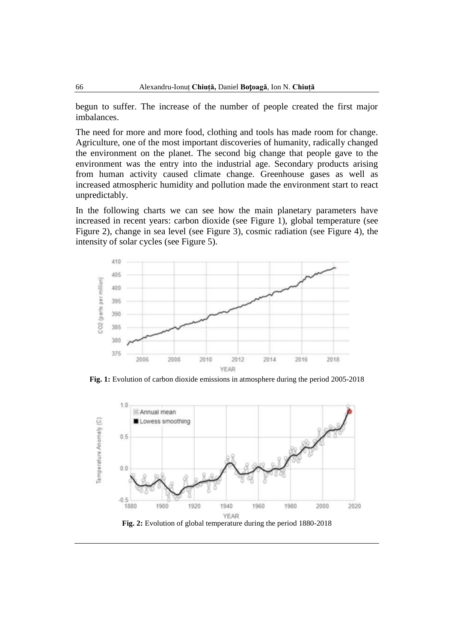begun to suffer. The increase of the number of people created the first major imbalances.

The need for more and more food, clothing and tools has made room for change. Agriculture, one of the most important discoveries of humanity, radically changed the environment on the planet. The second big change that people gave to the environment was the entry into the industrial age. Secondary products arising from human activity caused climate change. Greenhouse gases as well as increased atmospheric humidity and pollution made the environment start to react unpredictably.

In the following charts we can see how the main planetary parameters have increased in recent years: carbon dioxide (see Figure 1), global temperature (see Figure 2), change in sea level (see Figure 3), cosmic radiation (see Figure 4), the intensity of solar cycles (see Figure 5).



**Fig. 1:** Evolution of carbon dioxide emissions in atmosphere during the period 2005-2018

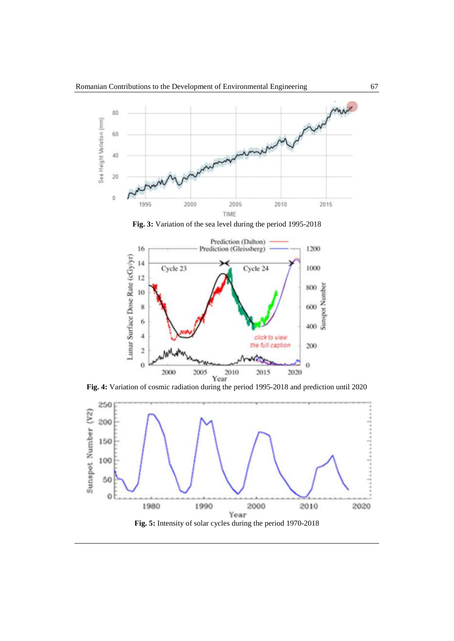

**Fig. 3:** Variation of the sea level during the period 1995-2018





**Fig. 5:** Intensity of solar cycles during the period 1970-2018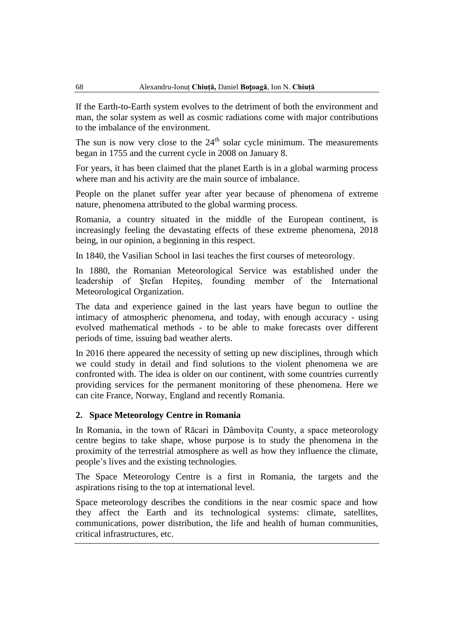If the Earth-to-Earth system evolves to the detriment of both the environment and man, the solar system as well as cosmic radiations come with major contributions to the imbalance of the environment.

The sun is now very close to the  $24<sup>th</sup>$  solar cycle minimum. The measurements began in 1755 and the current cycle in 2008 on January 8.

For years, it has been claimed that the planet Earth is in a global warming process where man and his activity are the main source of imbalance.

People on the planet suffer year after year because of phenomena of extreme nature, phenomena attributed to the global warming process.

Romania, a country situated in the middle of the European continent, is increasingly feeling the devastating effects of these extreme phenomena, 2018 being, in our opinion, a beginning in this respect.

In 1840, the Vasilian School in Iasi teaches the first courses of meteorology.

In 1880, the Romanian Meteorological Service was established under the leadership of Ştefan Hepiteş, founding member of the International Meteorological Organization.

The data and experience gained in the last years have begun to outline the intimacy of atmospheric phenomena, and today, with enough accuracy - using evolved mathematical methods - to be able to make forecasts over different periods of time, issuing bad weather alerts.

In 2016 there appeared the necessity of setting up new disciplines, through which we could study in detail and find solutions to the violent phenomena we are confronted with. The idea is older on our continent, with some countries currently providing services for the permanent monitoring of these phenomena. Here we can cite France, Norway, England and recently Romania.

# **2. Space Meteorology Centre in Romania**

In Romania, in the town of Răcari in Dâmboviţa County, a space meteorology centre begins to take shape, whose purpose is to study the phenomena in the proximity of the terrestrial atmosphere as well as how they influence the climate, people's lives and the existing technologies.

The Space Meteorology Centre is a first in Romania, the targets and the aspirations rising to the top at international level.

Space meteorology describes the conditions in the near cosmic space and how they affect the Earth and its technological systems: climate, satellites, communications, power distribution, the life and health of human communities, critical infrastructures, etc.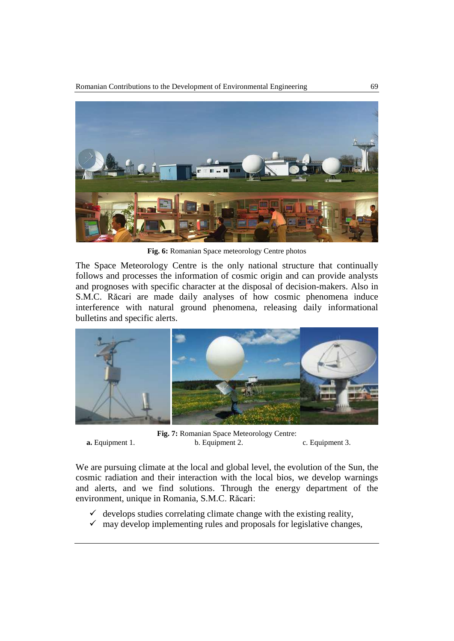

**Fig. 6:** Romanian Space meteorology Centre photos

The Space Meteorology Centre is the only national structure that continually follows and processes the information of cosmic origin and can provide analysts and prognoses with specific character at the disposal of decision-makers. Also in S.M.C. Răcari are made daily analyses of how cosmic phenomena induce interference with natural ground phenomena, releasing daily informational bulletins and specific alerts.



**Fig. 7:** Romanian Space Meteorology Centre: **a.** Equipment 1. b. Equipment 2. c. Equipment 3.

We are pursuing climate at the local and global level, the evolution of the Sun, the cosmic radiation and their interaction with the local bios, we develop warnings and alerts, and we find solutions. Through the energy department of the environment, unique in Romania, S.M.C. Răcari:

- $\checkmark$  develops studies correlating climate change with the existing reality,
- $\checkmark$  may develop implementing rules and proposals for legislative changes,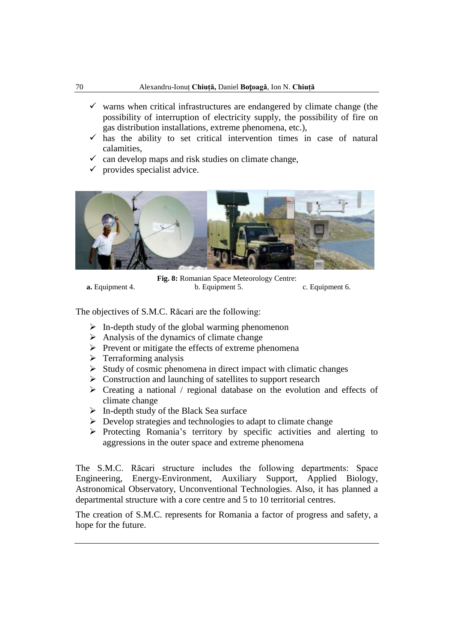- $\checkmark$  warns when critical infrastructures are endangered by climate change (the possibility of interruption of electricity supply, the possibility of fire on gas distribution installations, extreme phenomena, etc.),
- $\checkmark$  has the ability to set critical intervention times in case of natural calamities,
- $\checkmark$  can develop maps and risk studies on climate change,
- $\checkmark$  provides specialist advice.



**Fig. 8:** Romanian Space Meteorology Centre: **a.** Equipment 4. b. Equipment 5. c. Equipment 6.

The objectives of S.M.C. Răcari are the following:

- $\triangleright$  In-depth study of the global warming phenomenon
- $\triangleright$  Analysis of the dynamics of climate change
- $\triangleright$  Prevent or mitigate the effects of extreme phenomena
- $\triangleright$  Terraforming analysis
- $\triangleright$  Study of cosmic phenomena in direct impact with climatic changes
- $\triangleright$  Construction and launching of satellites to support research
- $\triangleright$  Creating a national / regional database on the evolution and effects of climate change
- $\triangleright$  In-depth study of the Black Sea surface
- $\triangleright$  Develop strategies and technologies to adapt to climate change
- $\triangleright$  Protecting Romania's territory by specific activities and alerting to aggressions in the outer space and extreme phenomena

The S.M.C. Răcari structure includes the following departments: Space Engineering, Energy-Environment, Auxiliary Support, Applied Biology, Astronomical Observatory, Unconventional Technologies. Also, it has planned a departmental structure with a core centre and 5 to 10 territorial centres.

The creation of S.M.C. represents for Romania a factor of progress and safety, a hope for the future.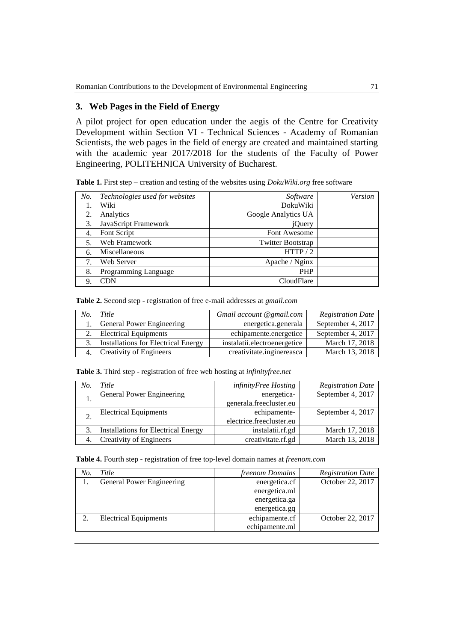# **3. Web Pages in the Field of Energy**

A pilot project for open education under the aegis of the Centre for Creativity Development within Section VI - Technical Sciences - Academy of Romanian Scientists, the web pages in the field of energy are created and maintained starting with the academic year 2017/2018 for the students of the Faculty of Power Engineering, POLITEHNICA University of Bucharest.

**Table 1.** First step – creation and testing of the websites using *DokuWiki.org* free software

| No. | Technologies used for websites | Software                 | Version |
|-----|--------------------------------|--------------------------|---------|
|     | Wiki                           | DokuWiki                 |         |
| 2.  | Analytics                      | Google Analytics UA      |         |
| 3.  | JavaScript Framework           | jQuery                   |         |
| 4.  | Font Script                    | Font Awesome             |         |
| 5.  | Web Framework                  | <b>Twitter Bootstrap</b> |         |
| 6.  | Miscellaneous                  | HTTP/2                   |         |
| 7.  | Web Server                     | Apache / Nginx           |         |
| 8.  | Programming Language           | <b>PHP</b>               |         |
| 9.  | $\mathbb{C}\mathrm{DN}$        | CloudFlare               |         |

**Table 2.** Second step - registration of free e-mail addresses at *gmail.com*

| No. | Title                                  | Gmail account @gmail.com     | <b>Registration Date</b> |
|-----|----------------------------------------|------------------------------|--------------------------|
|     | 1. General Power Engineering           | energetica.generala          | September 4, 2017        |
|     | 2. Electrical Equipments               | echipamente.energetice       | September 4, 2017        |
|     | 3. Installations for Electrical Energy | instalatii.electroenergetice | March 17, 2018           |
|     | 4. Creativity of Engineers             | creativitate.inginereasca    | March 13, 2018           |

**Table 3.** Third step - registration of free web hosting at *infinityfree.net*

| No. | <i>Title</i>                               | infinityFree Hosting     | <b>Registration Date</b> |
|-----|--------------------------------------------|--------------------------|--------------------------|
|     | General Power Engineering                  | energetica-              | September 4, 2017        |
|     |                                            | generala.freecluster.eu  |                          |
|     | <b>Electrical Equipments</b>               | echipamente-             | September 4, 2017        |
|     |                                            | electrice.freecluster.eu |                          |
| 3.  | <b>Installations for Electrical Energy</b> | instalatii.rf.gd         | March 17, 2018           |
|     | <b>Creativity of Engineers</b>             | creativitate.rf.gd       | March 13, 2018           |

**Table 4.** Fourth step - registration of free top-level domain names at *freenom.com*

| No. | Title                        | freenom Domains | <b>Registration Date</b> |
|-----|------------------------------|-----------------|--------------------------|
|     | General Power Engineering    | energetica.cf   | October 22, 2017         |
|     |                              | energetica.ml   |                          |
|     |                              | energetica.ga   |                          |
|     |                              | energetica.gq   |                          |
|     | <b>Electrical Equipments</b> | echipamente.cf  | October 22, 2017         |
|     |                              | echipamente.ml  |                          |
|     |                              |                 |                          |